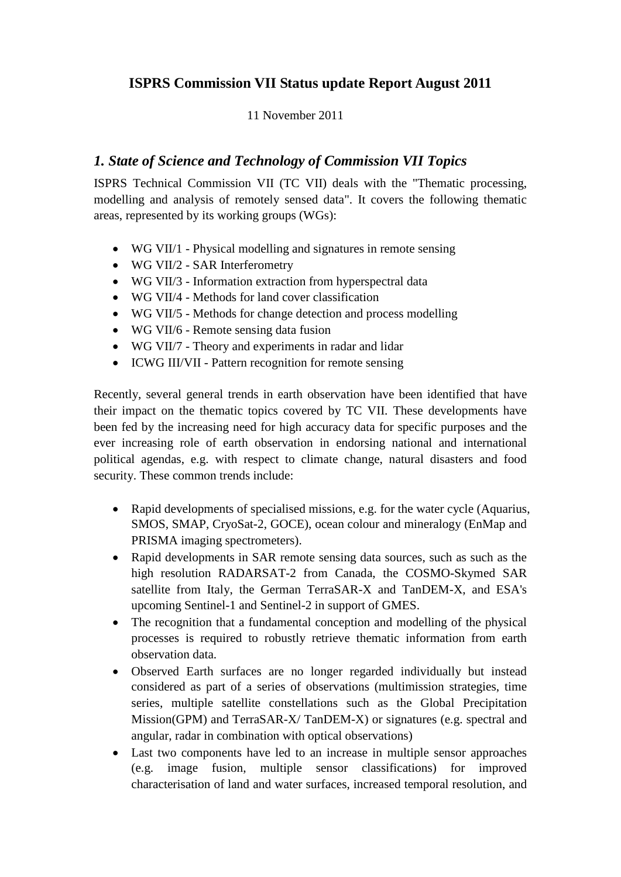# **ISPRS Commission VII Status update Report August 2011**

## 11 November 2011

## *1. State of Science and Technology of Commission VII Topics*

ISPRS Technical Commission VII (TC VII) deals with the "Thematic processing, modelling and analysis of remotely sensed data". It covers the following thematic areas, represented by its working groups (WGs):

- WG VII/1 Physical modelling and signatures in remote sensing
- WG VII/2 SAR Interferometry
- WG VII/3 Information extraction from hyperspectral data
- WG VII/4 Methods for land cover classification
- WG VII/5 Methods for change detection and process modelling
- WG VII/6 Remote sensing data fusion
- WG VII/7 Theory and experiments in radar and lidar
- ICWG III/VII Pattern recognition for remote sensing

Recently, several general trends in earth observation have been identified that have their impact on the thematic topics covered by TC VII. These developments have been fed by the increasing need for high accuracy data for specific purposes and the ever increasing role of earth observation in endorsing national and international political agendas, e.g. with respect to climate change, natural disasters and food security. These common trends include:

- Rapid developments of specialised missions, e.g. for the water cycle (Aquarius, SMOS, SMAP, CryoSat-2, GOCE), ocean colour and mineralogy (EnMap and PRISMA imaging spectrometers).
- Rapid developments in SAR remote sensing data sources, such as such as the high resolution RADARSAT-2 from Canada, the COSMO-Skymed SAR satellite from Italy, the German TerraSAR-X and TanDEM-X, and ESA's upcoming Sentinel-1 and Sentinel-2 in support of GMES.
- The recognition that a fundamental conception and modelling of the physical processes is required to robustly retrieve thematic information from earth observation data.
- Observed Earth surfaces are no longer regarded individually but instead considered as part of a series of observations (multimission strategies, time series, multiple satellite constellations such as the Global Precipitation Mission(GPM) and TerraSAR-X/ TanDEM-X) or signatures (e.g. spectral and angular, radar in combination with optical observations)
- Last two components have led to an increase in multiple sensor approaches (e.g. image fusion, multiple sensor classifications) for improved characterisation of land and water surfaces, increased temporal resolution, and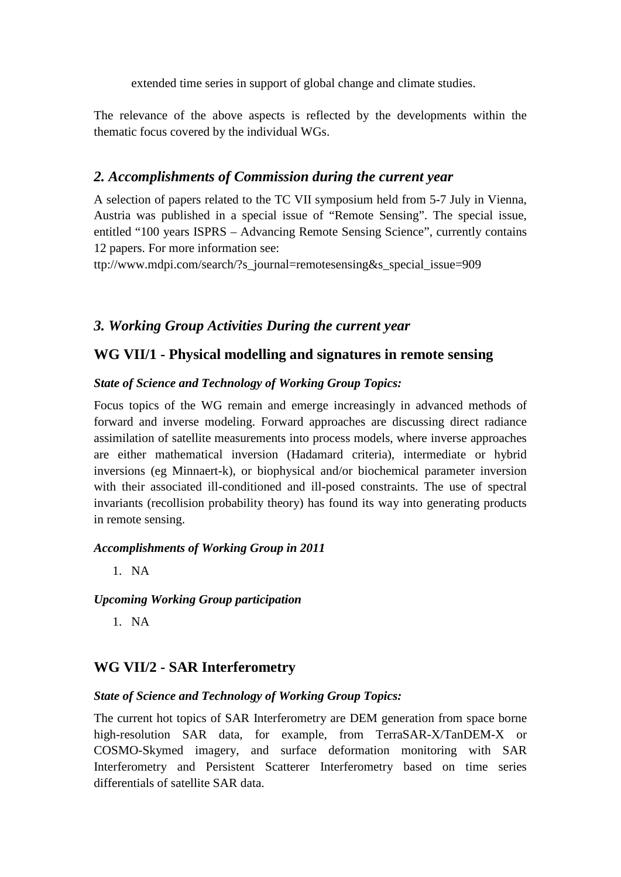extended time series in support of global change and climate studies.

The relevance of the above aspects is reflected by the developments within the thematic focus covered by the individual WGs.

## *2. Accomplishments of Commission during the current year*

A selection of papers related to the TC VII symposium held from 5-7 July in Vienna, Austria was published in a special issue of "Remote Sensing". The special issue, entitled "100 years ISPRS – Advancing Remote Sensing Science", currently contains 12 papers. For more information see:

ttp://www.mdpi.com/search/?s\_journal=remotesensing&s\_special\_issue=909

# *3. Working Group Activities During the current year*

## **WG VII/1 - Physical modelling and signatures in remote sensing**

## *State of Science and Technology of Working Group Topics:*

Focus topics of the WG remain and emerge increasingly in advanced methods of forward and inverse modeling. Forward approaches are discussing direct radiance assimilation of satellite measurements into process models, where inverse approaches are either mathematical inversion (Hadamard criteria), intermediate or hybrid inversions (eg Minnaert-k), or biophysical and/or biochemical parameter inversion with their associated ill-conditioned and ill-posed constraints. The use of spectral invariants (recollision probability theory) has found its way into generating products in remote sensing.

## *Accomplishments of Working Group in 2011*

1. NA

## *Upcoming Working Group participation*

1. NA

# **WG VII/2 - SAR Interferometry**

## *State of Science and Technology of Working Group Topics:*

The current hot topics of SAR Interferometry are DEM generation from space borne high-resolution SAR data, for example, from TerraSAR-X/TanDEM-X or COSMO-Skymed imagery, and surface deformation monitoring with SAR Interferometry and Persistent Scatterer Interferometry based on time series differentials of satellite SAR data.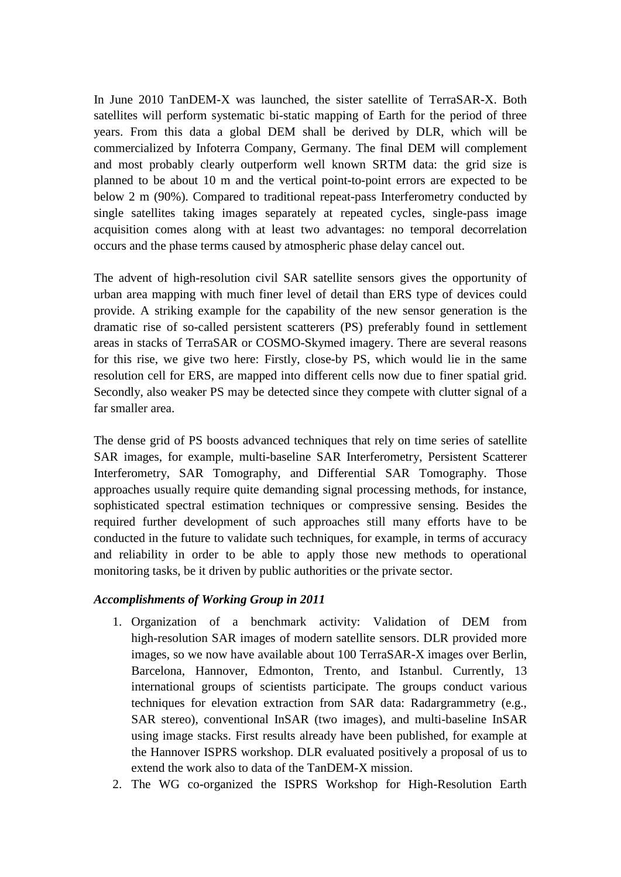In June 2010 TanDEM-X was launched, the sister satellite of TerraSAR-X. Both satellites will perform systematic bi-static mapping of Earth for the period of three years. From this data a global DEM shall be derived by DLR, which will be commercialized by Infoterra Company, Germany. The final DEM will complement and most probably clearly outperform well known SRTM data: the grid size is planned to be about 10 m and the vertical point-to-point errors are expected to be below 2 m (90%). Compared to traditional repeat-pass Interferometry conducted by single satellites taking images separately at repeated cycles, single-pass image acquisition comes along with at least two advantages: no temporal decorrelation occurs and the phase terms caused by atmospheric phase delay cancel out.

The advent of high-resolution civil SAR satellite sensors gives the opportunity of urban area mapping with much finer level of detail than ERS type of devices could provide. A striking example for the capability of the new sensor generation is the dramatic rise of so-called persistent scatterers (PS) preferably found in settlement areas in stacks of TerraSAR or COSMO-Skymed imagery. There are several reasons for this rise, we give two here: Firstly, close-by PS, which would lie in the same resolution cell for ERS, are mapped into different cells now due to finer spatial grid. Secondly, also weaker PS may be detected since they compete with clutter signal of a far smaller area.

The dense grid of PS boosts advanced techniques that rely on time series of satellite SAR images, for example, multi-baseline SAR Interferometry, Persistent Scatterer Interferometry, SAR Tomography, and Differential SAR Tomography. Those approaches usually require quite demanding signal processing methods, for instance, sophisticated spectral estimation techniques or compressive sensing. Besides the required further development of such approaches still many efforts have to be conducted in the future to validate such techniques, for example, in terms of accuracy and reliability in order to be able to apply those new methods to operational monitoring tasks, be it driven by public authorities or the private sector.

- 1. Organization of a benchmark activity: Validation of DEM from high-resolution SAR images of modern satellite sensors. DLR provided more images, so we now have available about 100 TerraSAR-X images over Berlin, Barcelona, Hannover, Edmonton, Trento, and Istanbul. Currently, 13 international groups of scientists participate. The groups conduct various techniques for elevation extraction from SAR data: Radargrammetry (e.g., SAR stereo), conventional InSAR (two images), and multi-baseline InSAR using image stacks. First results already have been published, for example at the Hannover ISPRS workshop. DLR evaluated positively a proposal of us to extend the work also to data of the TanDEM-X mission.
- 2. The WG co-organized the ISPRS Workshop for High-Resolution Earth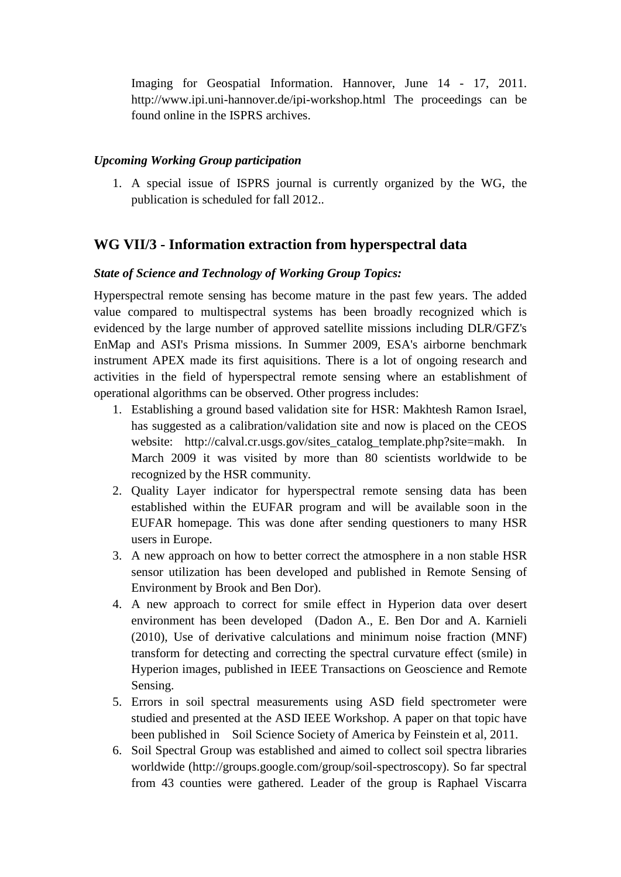Imaging for Geospatial Information. Hannover, June 14 - 17, 2011. http://www.ipi.uni-hannover.de/ipi-workshop.html The proceedings can be found online in the ISPRS archives.

#### *Upcoming Working Group participation*

1. A special issue of ISPRS journal is currently organized by the WG, the publication is scheduled for fall 2012..

### **WG VII/3 - Information extraction from hyperspectral data**

#### *State of Science and Technology of Working Group Topics:*

Hyperspectral remote sensing has become mature in the past few years. The added value compared to multispectral systems has been broadly recognized which is evidenced by the large number of approved satellite missions including DLR/GFZ's EnMap and ASI's Prisma missions. In Summer 2009, ESA's airborne benchmark instrument APEX made its first aquisitions. There is a lot of ongoing research and activities in the field of hyperspectral remote sensing where an establishment of operational algorithms can be observed. Other progress includes:

- 1. Establishing a ground based validation site for HSR: Makhtesh Ramon Israel, has suggested as a calibration/validation site and now is placed on the CEOS website: http://calval.cr.usgs.gov/sites\_catalog\_template.php?site=makh. In March 2009 it was visited by more than 80 scientists worldwide to be recognized by the HSR community.
- 2. Quality Layer indicator for hyperspectral remote sensing data has been established within the EUFAR program and will be available soon in the EUFAR homepage. This was done after sending questioners to many HSR users in Europe.
- 3. A new approach on how to better correct the atmosphere in a non stable HSR sensor utilization has been developed and published in Remote Sensing of Environment by Brook and Ben Dor).
- 4. A new approach to correct for smile effect in Hyperion data over desert environment has been developed (Dadon A., E. Ben Dor and A. Karnieli (2010), Use of derivative calculations and minimum noise fraction (MNF) transform for detecting and correcting the spectral curvature effect (smile) in Hyperion images, published in IEEE Transactions on Geoscience and Remote Sensing.
- 5. Errors in soil spectral measurements using ASD field spectrometer were studied and presented at the ASD IEEE Workshop. A paper on that topic have been published in Soil Science Society of America by Feinstein et al, 2011.
- 6. Soil Spectral Group was established and aimed to collect soil spectra libraries worldwide (http://groups.google.com/group/soil-spectroscopy). So far spectral from 43 counties were gathered. Leader of the group is Raphael Viscarra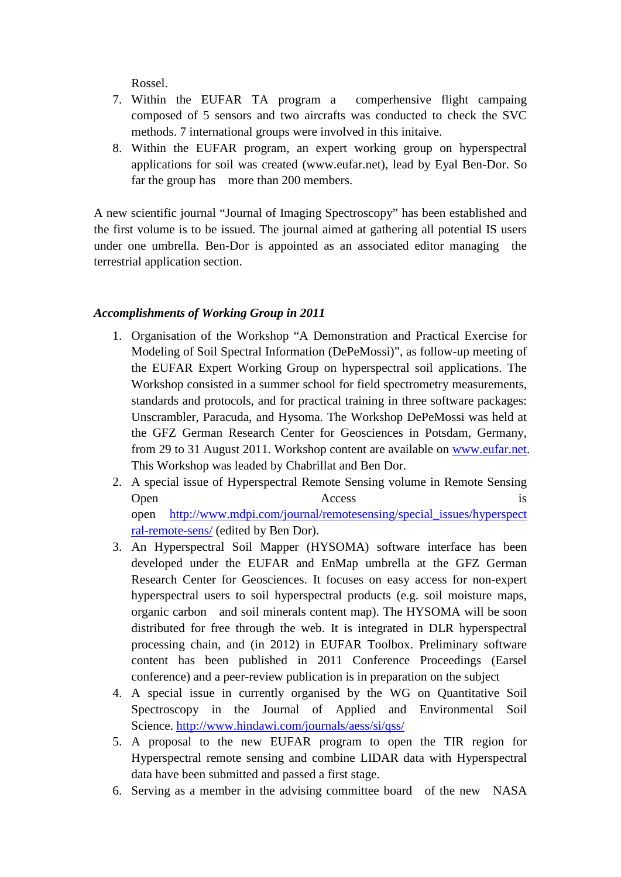Rossel.

- 7. Within the EUFAR TA program a comperhensive flight campaing composed of 5 sensors and two aircrafts was conducted to check the SVC methods. 7 international groups were involved in this initaive.
- 8. Within the EUFAR program, an expert working group on hyperspectral applications for soil was created (www.eufar.net), lead by Eyal Ben-Dor. So far the group has more than 200 members.

A new scientific journal "Journal of Imaging Spectroscopy" has been established and the first volume is to be issued. The journal aimed at gathering all potential IS users under one umbrella. Ben-Dor is appointed as an associated editor managing the terrestrial application section.

- 1. Organisation of the Workshop "A Demonstration and Practical Exercise for Modeling of Soil Spectral Information (DePeMossi)", as follow-up meeting of the EUFAR Expert Working Group on hyperspectral soil applications. The Workshop consisted in a summer school for field spectrometry measurements, standards and protocols, and for practical training in three software packages: Unscrambler, Paracuda, and Hysoma. The Workshop DePeMossi was held at the GFZ German Research Center for Geosciences in Potsdam, Germany, from 29 to 31 August 2011. Workshop content are available on [www.eufar.net.](http://www.eufar.net/) This Workshop was leaded by Chabrillat and Ben Dor.
- 2. A special issue of Hyperspectral Remote Sensing volume in Remote Sensing Open Access is open [http://www.mdpi.com/journal/remotesensing/special\\_issues/hyperspect](http://www.mdpi.com/journal/remotesensing/special_issues/hyperspectral-remote-sens/) [ral-remote-sens/](http://www.mdpi.com/journal/remotesensing/special_issues/hyperspectral-remote-sens/) (edited by Ben Dor).
- 3. An Hyperspectral Soil Mapper (HYSOMA) software interface has been developed under the EUFAR and EnMap umbrella at the GFZ German Research Center for Geosciences. It focuses on easy access for non-expert hyperspectral users to soil hyperspectral products (e.g. soil moisture maps, organic carbon and soil minerals content map). The HYSOMA will be soon distributed for free through the web. It is integrated in DLR hyperspectral processing chain, and (in 2012) in EUFAR Toolbox. Preliminary software content has been published in 2011 Conference Proceedings (Earsel conference) and a peer-review publication is in preparation on the subject
- 4. A special issue in currently organised by the WG on Quantitative Soil Spectroscopy in the Journal of Applied and Environmental Soil Science.<http://www.hindawi.com/journals/aess/si/qss/>
- 5. A proposal to the new EUFAR program to open the TIR region for Hyperspectral remote sensing and combine LIDAR data with Hyperspectral data have been submitted and passed a first stage.
- 6. Serving as a member in the advising committee board of the new NASA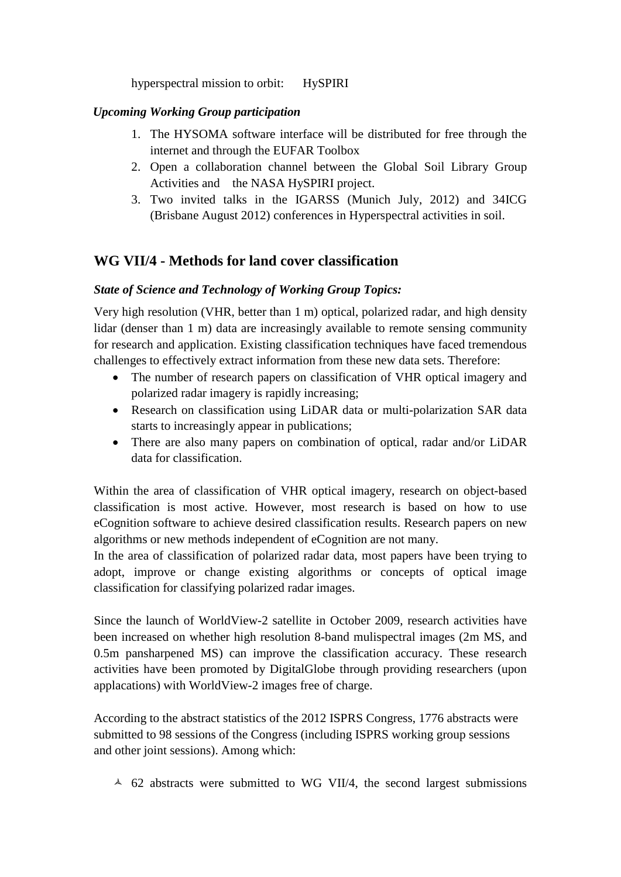hyperspectral mission to orbit: HySPIRI

### *Upcoming Working Group participation*

- 1. The HYSOMA software interface will be distributed for free through the internet and through the EUFAR Toolbox
- 2. Open a collaboration channel between the Global Soil Library Group Activities and the NASA HySPIRI project.
- 3. Two invited talks in the IGARSS (Munich July, 2012) and 34ICG (Brisbane August 2012) conferences in Hyperspectral activities in soil.

# **WG VII/4 - Methods for land cover classification**

### *State of Science and Technology of Working Group Topics:*

Very high resolution (VHR, better than 1 m) optical, polarized radar, and high density lidar (denser than 1 m) data are increasingly available to remote sensing community for research and application. Existing classification techniques have faced tremendous challenges to effectively extract information from these new data sets. Therefore:

- The number of research papers on classification of VHR optical imagery and polarized radar imagery is rapidly increasing;
- Research on classification using LiDAR data or multi-polarization SAR data starts to increasingly appear in publications;
- There are also many papers on combination of optical, radar and/or LiDAR data for classification.

Within the area of classification of VHR optical imagery, research on object-based classification is most active. However, most research is based on how to use eCognition software to achieve desired classification results. Research papers on new algorithms or new methods independent of eCognition are not many.

In the area of classification of polarized radar data, most papers have been trying to adopt, improve or change existing algorithms or concepts of optical image classification for classifying polarized radar images.

Since the launch of WorldView-2 satellite in October 2009, research activities have been increased on whether high resolution 8-band mulispectral images (2m MS, and 0.5m pansharpened MS) can improve the classification accuracy. These research activities have been promoted by DigitalGlobe through providing researchers (upon applacations) with WorldView-2 images free of charge.

According to the abstract statistics of the 2012 ISPRS Congress, 1776 abstracts were submitted to 98 sessions of the Congress (including ISPRS working group sessions and other joint sessions). Among which:

 $\sim$  62 abstracts were submitted to WG VII/4, the second largest submissions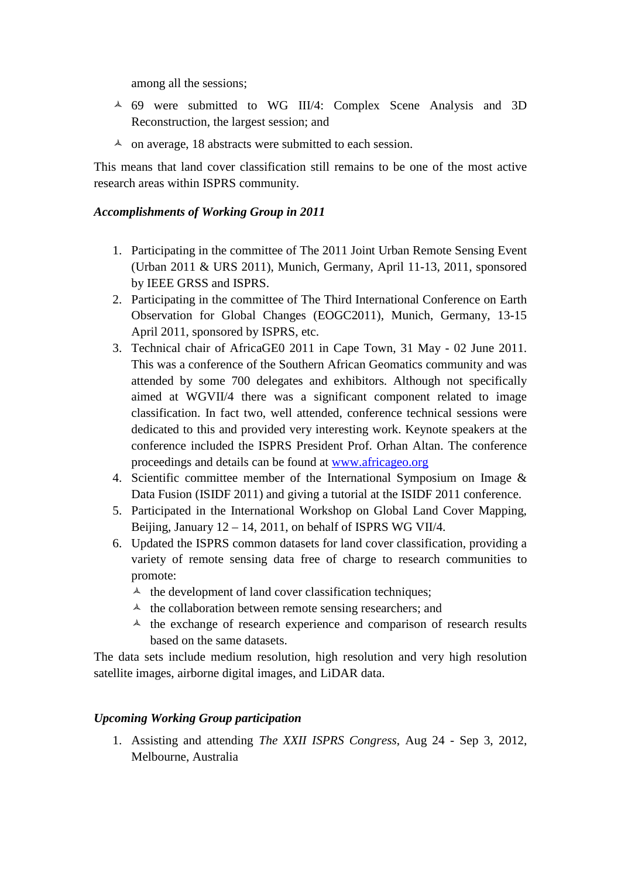among all the sessions;

- 69 were submitted to WG III/4: Complex Scene Analysis and 3D Reconstruction, the largest session; and
- $\triangle$  on average, 18 abstracts were submitted to each session.

This means that land cover classification still remains to be one of the most active research areas within ISPRS community.

#### *Accomplishments of Working Group in 2011*

- 1. Participating in the committee of The 2011 Joint Urban Remote Sensing Event (Urban 2011 & URS 2011), Munich, Germany, April 11-13, 2011, sponsored by IEEE GRSS and ISPRS.
- 2. Participating in the committee of The Third International Conference on Earth Observation for Global Changes (EOGC2011), Munich, Germany, 13-15 April 2011, sponsored by ISPRS, etc.
- 3. Technical chair of AfricaGE0 2011 in Cape Town, 31 May 02 June 2011. This was a conference of the Southern African Geomatics community and was attended by some 700 delegates and exhibitors. Although not specifically aimed at WGVII/4 there was a significant component related to image classification. In fact two, well attended, conference technical sessions were dedicated to this and provided very interesting work. Keynote speakers at the conference included the ISPRS President Prof. Orhan Altan. The conference proceedings and details can be found at [www.africageo.org](http://www.africageo.org/)
- 4. Scientific committee member of the International Symposium on Image & Data Fusion (ISIDF 2011) and giving a tutorial at the ISIDF 2011 conference.
- 5. Participated in the International Workshop on Global Land Cover Mapping, Beijing, January  $12 - 14$ , 2011, on behalf of ISPRS WG VII/4.
- 6. Updated the ISPRS common datasets for land cover classification, providing a variety of remote sensing data free of charge to research communities to promote:
	- $\lambda$  the development of land cover classification techniques;
	- $\lambda$  the collaboration between remote sensing researchers; and
	- $\lambda$  the exchange of research experience and comparison of research results based on the same datasets.

The data sets include medium resolution, high resolution and very high resolution satellite images, airborne digital images, and LiDAR data.

### *Upcoming Working Group participation*

1. Assisting and attending *The XXII ISPRS Congress*, Aug 24 - Sep 3, 2012, Melbourne, Australia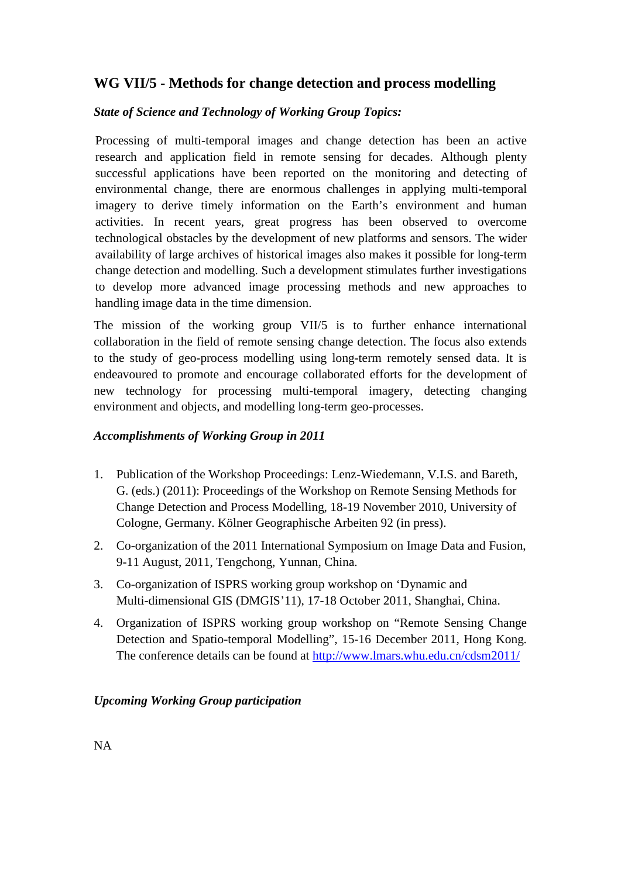## **WG VII/5 - Methods for change detection and process modelling**

## *State of Science and Technology of Working Group Topics:*

Processing of multi-temporal images and change detection has been an active research and application field in remote sensing for decades. Although plenty successful applications have been reported on the monitoring and detecting of environmental change, there are enormous challenges in applying multi-temporal imagery to derive timely information on the Earth's environment and human activities. In recent years, great progress has been observed to overcome technological obstacles by the development of new platforms and sensors. The wider availability of large archives of historical images also makes it possible for long-term change detection and modelling. Such a development stimulates further investigations to develop more advanced image processing methods and new approaches to handling image data in the time dimension.

The mission of the working group VII/5 is to further enhance international collaboration in the field of remote sensing change detection. The focus also extends to the study of geo-process modelling using long-term remotely sensed data. It is endeavoured to promote and encourage collaborated efforts for the development of new technology for processing multi-temporal imagery, detecting changing environment and objects, and modelling long-term geo-processes.

### *Accomplishments of Working Group in 2011*

- 1. Publication of the Workshop Proceedings: Lenz-Wiedemann, V.I.S. and Bareth, G. (eds.) (2011): Proceedings of the Workshop on Remote Sensing Methods for Change Detection and Process Modelling, 18-19 November 2010, University of Cologne, Germany. Kölner Geographische Arbeiten 92 (in press).
- 2. Co-organization of the 2011 International Symposium on Image Data and Fusion, 9-11 August, 2011, Tengchong, Yunnan, China.
- 3. Co-organization of ISPRS working group workshop on 'Dynamic and Multi-dimensional GIS (DMGIS'11), 17-18 October 2011, Shanghai, China.
- 4. Organization of ISPRS working group workshop on "Remote Sensing Change Detection and Spatio-temporal Modelling", 15-16 December 2011, Hong Kong. The conference details can be found at<http://www.lmars.whu.edu.cn/cdsm2011/>

### *Upcoming Working Group participation*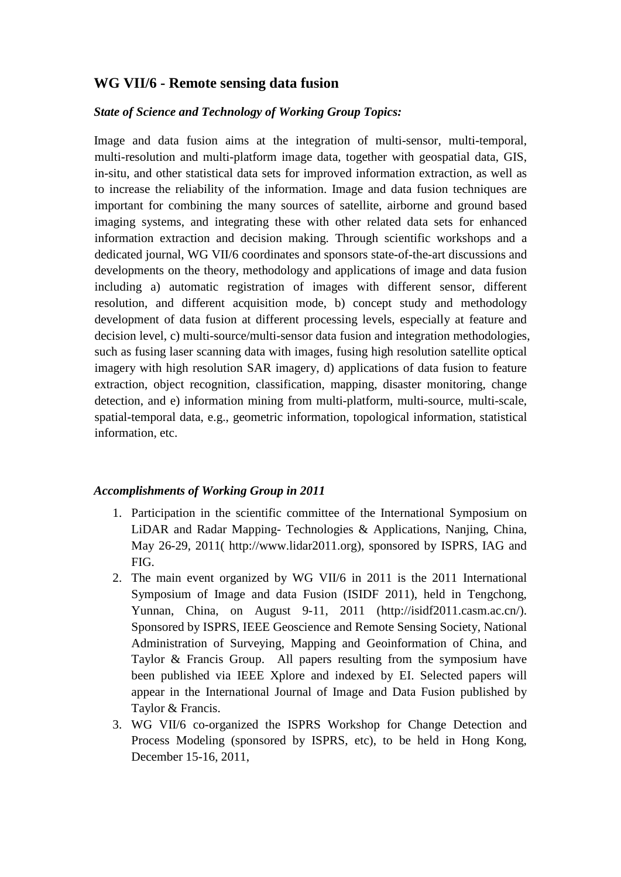## **WG VII/6 - Remote sensing data fusion**

#### *State of Science and Technology of Working Group Topics:*

Image and data fusion aims at the integration of multi-sensor, multi-temporal, multi-resolution and multi-platform image data, together with geospatial data, GIS, in-situ, and other statistical data sets for improved information extraction, as well as to increase the reliability of the information. Image and data fusion techniques are important for combining the many sources of satellite, airborne and ground based imaging systems, and integrating these with other related data sets for enhanced information extraction and decision making. Through scientific workshops and a dedicated journal, WG VII/6 coordinates and sponsors state-of-the-art discussions and developments on the theory, methodology and applications of image and data fusion including a) automatic registration of images with different sensor, different resolution, and different acquisition mode, b) concept study and methodology development of data fusion at different processing levels, especially at feature and decision level, c) multi-source/multi-sensor data fusion and integration methodologies, such as fusing laser scanning data with images, fusing high resolution satellite optical imagery with high resolution SAR imagery, d) applications of data fusion to feature extraction, object recognition, classification, mapping, disaster monitoring, change detection, and e) information mining from multi-platform, multi-source, multi-scale, spatial-temporal data, e.g., geometric information, topological information, statistical information, etc.

- 1. Participation in the scientific committee of the International Symposium on LiDAR and Radar Mapping- Technologies & Applications, Nanjing, China, May 26-29, 2011( http://www.lidar2011.org), sponsored by ISPRS, IAG and FIG.
- 2. The main event organized by WG VII/6 in 2011 is the 2011 International Symposium of Image and data Fusion (ISIDF 2011), held in Tengchong, Yunnan, China, on August 9-11, 2011 (http://isidf2011.casm.ac.cn/). Sponsored by ISPRS, IEEE Geoscience and Remote Sensing Society, National Administration of Surveying, Mapping and Geoinformation of China, and Taylor & Francis Group. All papers resulting from the symposium have been published via IEEE Xplore and indexed by EI. Selected papers will appear in the International Journal of Image and Data Fusion published by Taylor & Francis.
- 3. WG VII/6 co-organized the ISPRS Workshop for Change Detection and Process Modeling (sponsored by ISPRS, etc), to be held in Hong Kong, December 15-16, 2011,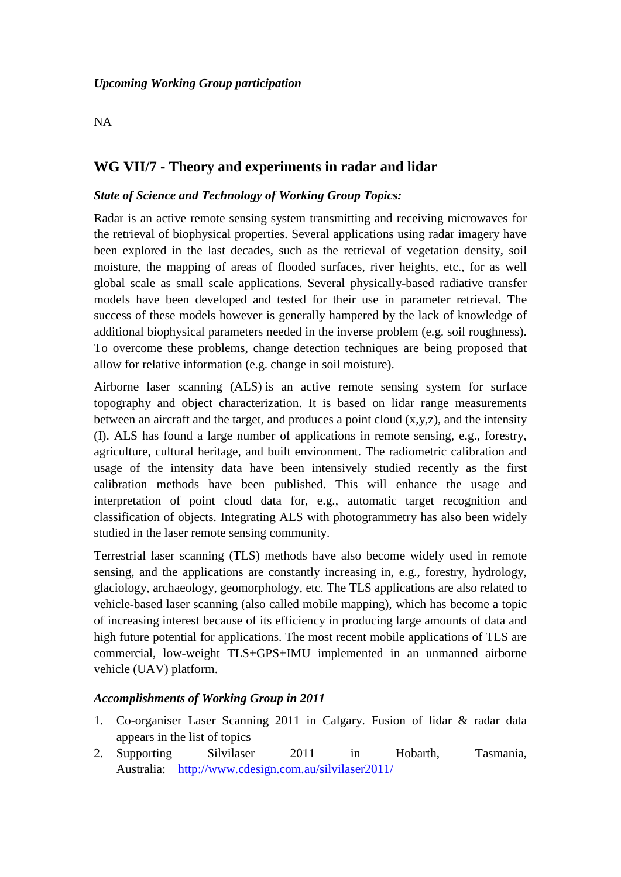#### NA

## **WG VII/7 - Theory and experiments in radar and lidar**

#### *State of Science and Technology of Working Group Topics:*

Radar is an active remote sensing system transmitting and receiving microwaves for the retrieval of biophysical properties. Several applications using radar imagery have been explored in the last decades, such as the retrieval of vegetation density, soil moisture, the mapping of areas of flooded surfaces, river heights, etc., for as well global scale as small scale applications. Several physically-based radiative transfer models have been developed and tested for their use in parameter retrieval. The success of these models however is generally hampered by the lack of knowledge of additional biophysical parameters needed in the inverse problem (e.g. soil roughness). To overcome these problems, change detection techniques are being proposed that allow for relative information (e.g. change in soil moisture).

Airborne laser scanning (ALS) is an active remote sensing system for surface topography and object characterization. It is based on lidar range measurements between an aircraft and the target, and produces a point cloud  $(x,y,z)$ , and the intensity (I). ALS has found a large number of applications in remote sensing, e.g., forestry, agriculture, cultural heritage, and built environment. The radiometric calibration and usage of the intensity data have been intensively studied recently as the first calibration methods have been published. This will enhance the usage and interpretation of point cloud data for, e.g., automatic target recognition and classification of objects. Integrating ALS with photogrammetry has also been widely studied in the laser remote sensing community.

Terrestrial laser scanning (TLS) methods have also become widely used in remote sensing, and the applications are constantly increasing in, e.g., forestry, hydrology, glaciology, archaeology, geomorphology, etc. The TLS applications are also related to vehicle-based laser scanning (also called mobile mapping), which has become a topic of increasing interest because of its efficiency in producing large amounts of data and high future potential for applications. The most recent mobile applications of TLS are commercial, low-weight TLS+GPS+IMU implemented in an unmanned airborne vehicle (UAV) platform.

- 1. Co-organiser Laser Scanning 2011 in Calgary. Fusion of lidar & radar data appears in the list of topics
- 2. Supporting Silvilaser 2011 in Hobarth, Tasmania, Australia: <http://www.cdesign.com.au/silvilaser2011/>